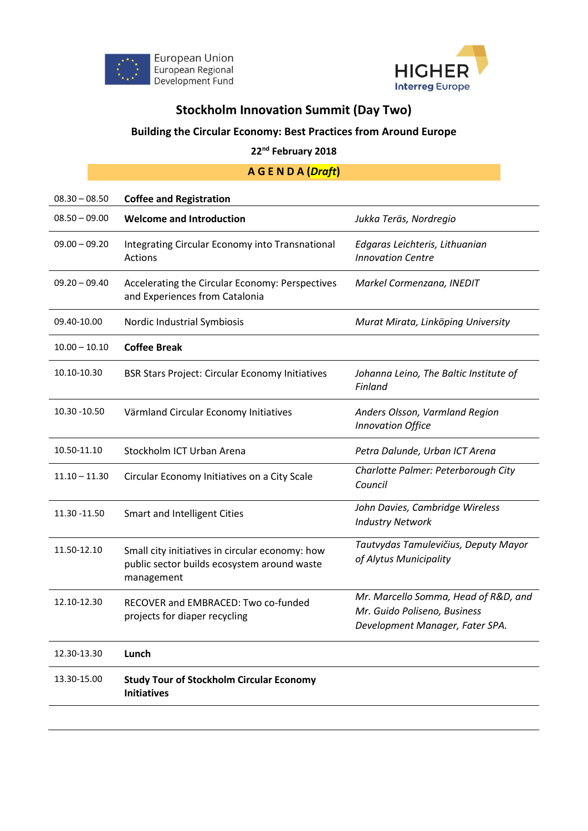



## **Stockholm Innovation Summit (Day Two)**

## **Building the Circular Economy: Best Practices from Around Europe**

## **22nd February 2018**

## **A G E N D A (***Draft***)**

| <b>Coffee and Registration</b>                                                                               |                                                                                                         |
|--------------------------------------------------------------------------------------------------------------|---------------------------------------------------------------------------------------------------------|
| <b>Welcome and Introduction</b>                                                                              | Jukka Teräs, Nordregio                                                                                  |
| Integrating Circular Economy into Transnational<br>Actions                                                   | Edgaras Leichteris, Lithuanian<br><b>Innovation Centre</b>                                              |
| Accelerating the Circular Economy: Perspectives<br>and Experiences from Catalonia                            | Markel Cormenzana, INEDIT                                                                               |
| Nordic Industrial Symbiosis                                                                                  | Murat Mirata, Linköping University                                                                      |
| <b>Coffee Break</b>                                                                                          |                                                                                                         |
| <b>BSR Stars Project: Circular Economy Initiatives</b>                                                       | Johanna Leino, The Baltic Institute of<br>Finland                                                       |
| Värmland Circular Economy Initiatives                                                                        | Anders Olsson, Varmland Region<br><b>Innovation Office</b>                                              |
| Stockholm ICT Urban Arena                                                                                    | Petra Dalunde, Urban ICT Arena                                                                          |
| Circular Economy Initiatives on a City Scale                                                                 | Charlotte Palmer: Peterborough City<br>Council                                                          |
| Smart and Intelligent Cities                                                                                 | John Davies, Cambridge Wireless<br><b>Industry Network</b>                                              |
| Small city initiatives in circular economy: how<br>public sector builds ecosystem around waste<br>management | Tautvydas Tamulevičius, Deputy Mayor<br>of Alytus Municipality                                          |
| RECOVER and EMBRACED: Two co-funded<br>projects for diaper recycling                                         | Mr. Marcello Somma, Head of R&D, and<br>Mr. Guido Poliseno, Business<br>Development Manager, Fater SPA. |
| Lunch                                                                                                        |                                                                                                         |
| <b>Study Tour of Stockholm Circular Economy</b><br><b>Initiatives</b>                                        |                                                                                                         |
|                                                                                                              |                                                                                                         |